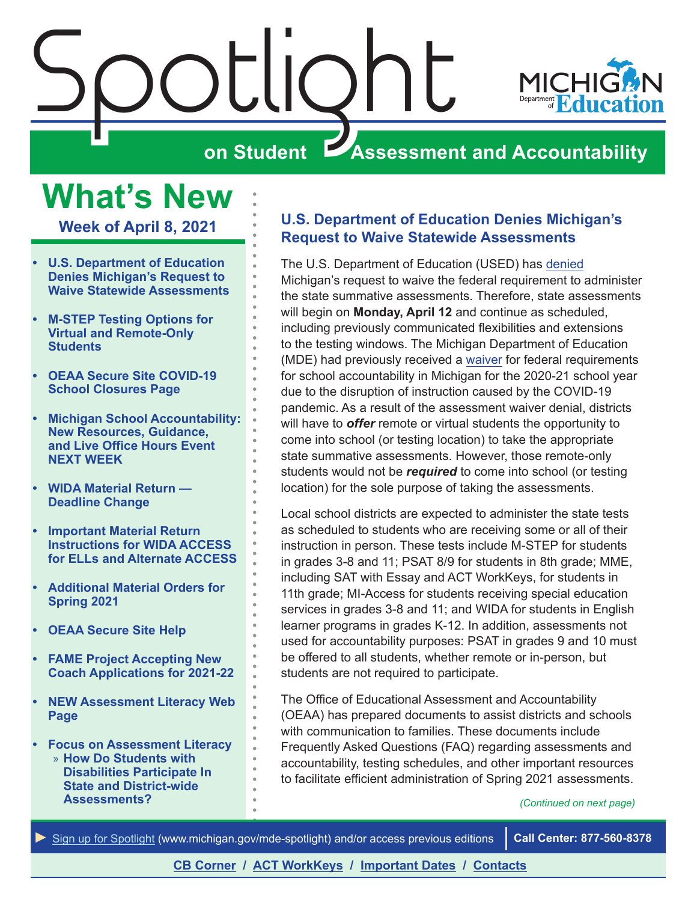<span id="page-0-0"></span>

## **What's New**

**Week of April 8, 2021**

- **• U.S. Department of Education Denies Michigan's Request to Waive Statewide Assessments**
- **• [M-STEP Testing Options for](#page-1-0)  [Virtual and Remote-Only](#page-1-0)  [Students](#page-1-0)**
- **• [OEAA Secure Site COVID-19](#page-1-0)  [School Closures Page](#page-1-0)**
- **• [Michigan School Accountability:](#page-1-0)  [New Resources, Guidance,](#page-1-0)  [and Live Office Hours Event](#page-1-0)  [NEXT WEEK](#page-1-0)**
- **• [WIDA Material Return](#page-2-0)  [Deadline Change](#page-2-0)**
- **• [Important Material Return](#page-2-0)  [Instructions for WIDA ACCESS](#page-2-0)  [for ELLs and Alternate ACCESS](#page-2-0)**
- **• [Additional Material Orders for](#page-4-0)  [Spring 2021](#page-4-0)**
- **• [OEAA Secure Site Help](#page-5-0)**
- **• [FAME Project Accepting New](#page-5-0)  [Coach Applications for 2021-22](#page-5-0)**
- **• [NEW Assessment Literacy Web](#page-6-0)  [Page](#page-6-0)**
- **• [Focus on Assessment Literacy](#page-7-0)** » **[How Do Students with](#page-7-0)  [Disabilities Participate In](#page-7-0)  [State and District-wide](#page-7-0)  [Assessments?](#page-7-0)**

#### **U.S. Department of Education Denies Michigan's Request to Waive Statewide Assessments**

The U.S. Department of Education (USED) has [denied](https://www.michigan.gov/mde/0,4615,7-140--556365--,00.html) Michigan's request to waive the federal requirement to administer the state summative assessments. Therefore, state assessments will begin on **Monday, April 12** and continue as scheduled, including previously communicated flexibilities and extensions to the testing windows. The Michigan Department of Education (MDE) had previously received a [waiver](https://www.michigan.gov/mde/0,4615,7-140--555716--,00.html) for federal requirements for school accountability in Michigan for the 2020-21 school year due to the disruption of instruction caused by the COVID-19 pandemic. As a result of the assessment waiver denial, districts will have to *offer* remote or virtual students the opportunity to come into school (or testing location) to take the appropriate state summative assessments. However, those remote-only students would not be *required* to come into school (or testing location) for the sole purpose of taking the assessments.

Local school districts are expected to administer the state tests as scheduled to students who are receiving some or all of their instruction in person. These tests include M-STEP for students in grades 3-8 and 11; PSAT 8/9 for students in 8th grade; MME, including SAT with Essay and ACT WorkKeys, for students in 11th grade; MI-Access for students receiving special education services in grades 3-8 and 11; and WIDA for students in English learner programs in grades K-12. In addition, assessments not used for accountability purposes: PSAT in grades 9 and 10 must be offered to all students, whether remote or in-person, but students are not required to participate.

The Office of Educational Assessment and Accountability (OEAA) has prepared documents to assist districts and schools with communication to families. These documents include Frequently Asked Questions (FAQ) regarding assessments and accountability, testing schedules, and other important resources to facilitate efficient administration of Spring 2021 assessments.

*(Continued on next page)*

*►* [Sign up for Spotlight](https://public.govdelivery.com/accounts/MIMDE/subscriber/new) [\(www.michigan.gov/mde](www.michigan.gov/mde-spotlight)-spotlight) and/or access previous editions **Call Center: 877-560-8378**

#### **[CB Corner](#page-9-0) / [ACT WorkKeys](#page-11-0) / [Important Dates](#page-14-0) / [Contacts](#page-17-0)**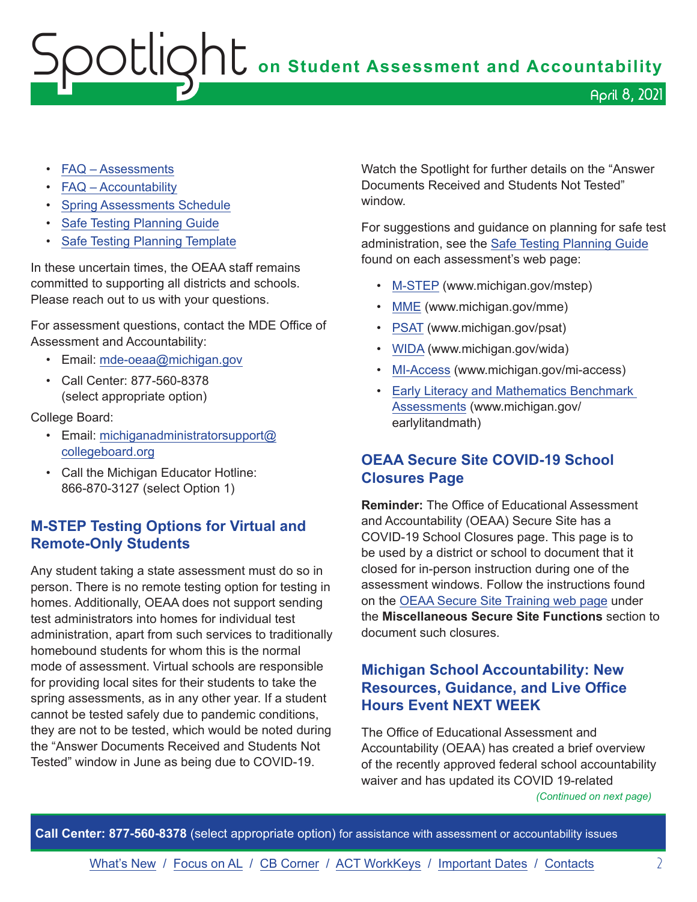- <span id="page-1-0"></span>• [FAQ – Assessments](https://www.michigan.gov/documents/mde/Spring_2021_Summative_Assessments_FAQ_721789_7.pdf)
- [FAQ Accountability](https://www.michigan.gov/documents/mde/Michigan_School_Accountability_Planning_and_Response_to_COVID-19_701197_7.pdf)
- [Spring Assessments Schedule](https://www.michigan.gov/documents/mde/Spring_2021_Contingency_Test_Dates_and_Flexibility_Options_710735_7.pdf)
- [Safe Testing Planning Guide](https://www.michigan.gov/documents/mde/Safe_Testing_Planning_Guide_716132_7.pdf)
- [Safe Testing Planning Template](https://www.michigan.gov/documents/mde/Safe_Testing_Planning_Word_Template_716136_7.docx)

In these uncertain times, the OEAA staff remains committed to supporting all districts and schools. Please reach out to us with your questions.

For assessment questions, contact the MDE Office of Assessment and Accountability:

- Email: [mde-oeaa@michigan.gov](mailto:mde-oeaa%40michigan.gov?subject=)
- Call Center: 877-560-8378 (select appropriate option)

#### College Board:

- Email: [michiganadministratorsupport@](mailto:michiganadministratorsupport%40collegeboard.org?subject=) [collegeboard.org](mailto:michiganadministratorsupport%40collegeboard.org?subject=)
- Call the Michigan Educator Hotline: 866-870-3127 (select Option 1)

#### **M-STEP Testing Options for Virtual and Remote-Only Students**

Any student taking a state assessment must do so in person. There is no remote testing option for testing in homes. Additionally, OEAA does not support sending test administrators into homes for individual test administration, apart from such services to traditionally homebound students for whom this is the normal mode of assessment. Virtual schools are responsible for providing local sites for their students to take the spring assessments, as in any other year. If a student cannot be tested safely due to pandemic conditions, they are not to be tested, which would be noted during the "Answer Documents Received and Students Not Tested" window in June as being due to COVID-19.

Watch the Spotlight for further details on the "Answer Documents Received and Students Not Tested" window.

For suggestions and guidance on planning for safe test administration, see the [Safe Testing Planning Guide](https://www.michigan.gov/documents/mde/Safe_Testing_Planning_Guide_716132_7.pdf)  found on each assessment's web page:

- [M-STEP](www.michigan.gov/mstep) (www.michigan.gov/mstep)
- [MME](www.michigan.gov/mme) (www.michigan.gov/mme)
- [PSAT](http://www.michigan.gov/psat) (www.michigan.gov/psat)
- [WIDA](www.michigan.gov/wida) (www.michigan.gov/wida)
- [MI-Access](http://www.michigan.gov/mi-access) (www.michigan.gov/mi-access)
- [Early Literacy and Mathematics Benchmark](www.michigan.gov/earlylitandmath)  [Assessments](www.michigan.gov/earlylitandmath) (www.michigan.gov/ earlylitandmath)

#### **OEAA Secure Site COVID-19 School Closures Page**

**Reminder:** The Office of Educational Assessment and Accountability (OEAA) Secure Site has a COVID-19 School Closures page. This page is to be used by a district or school to document that it closed for in-person instruction during one of the assessment windows. Follow the instructions found on the [OEAA Secure Site Training web page](http://www.michigan.gov/securesitetraining) under the **Miscellaneous Secure Site Functions** section to document such closures.

#### **Michigan School Accountability: New Resources, Guidance, and Live Office Hours Event NEXT WEEK**

The Office of Educational Assessment and Accountability (OEAA) has created a brief overview of the recently approved federal school accountability waiver and has updated its COVID 19-related

*(Continued on next page)*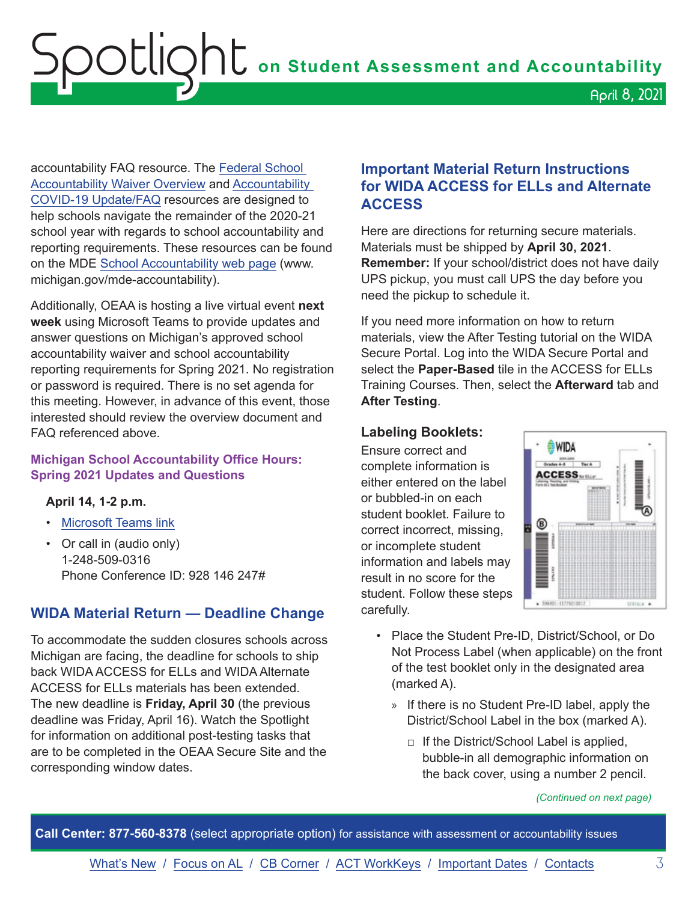<span id="page-2-0"></span>accountability FAQ resource. The [Federal School](https://www.michigan.gov/documents/mde/Michigans_Approved_School_Accountability_Waiver_for_2020-21_721636_7.pdf)  [Accountability Waiver Overview](https://www.michigan.gov/documents/mde/Michigans_Approved_School_Accountability_Waiver_for_2020-21_721636_7.pdf) and [Accountability](https://www.michigan.gov/documents/mde/Michigan_School_Accountability_Planning_and_Response_to_COVID-19_701197_7.pdf)  [COVID-19 Update/FAQ](https://www.michigan.gov/documents/mde/Michigan_School_Accountability_Planning_and_Response_to_COVID-19_701197_7.pdf) resources are designed to help schools navigate the remainder of the 2020-21 school year with regards to school accountability and reporting requirements. These resources can be found on the MDE [School Accountability web page](http://www.michigan.gov/mde-accountability) (www. michigan.gov/mde-accountability).

Additionally, OEAA is hosting a live virtual event **next week** using Microsoft Teams to provide updates and answer questions on Michigan's approved school accountability waiver and school accountability reporting requirements for Spring 2021. No registration or password is required. There is no set agenda for this meeting. However, in advance of this event, those interested should review the overview document and FAQ referenced above.

#### **Michigan School Accountability Office Hours: Spring 2021 Updates and Questions**

#### **April 14, 1-2 p.m.**

- [Microsoft Teams link](https://teams.microsoft.com/l/meetup-join/19%3ameeting_NTMwYzUyZGQtYzY4ZC00N2M2LThkNWUtMzI1MGUwYzQyZjcw%40thread.v2/0?context=%7b%22Tid%22%3a%22d5fb7087-3777-42ad-966a-892ef47225d1%22%2c%22Oid%22%3a%22ca6951cb-3f0c-46c4-b45e-0209c7a4a4f2%22%7d)
- Or call in (audio only) 1-248-509-0316 Phone Conference ID: 928 146 247#

#### **WIDA Material Return — Deadline Change**

To accommodate the sudden closures schools across Michigan are facing, the deadline for schools to ship back WIDA ACCESS for ELLs and WIDA Alternate ACCESS for ELLs materials has been extended. The new deadline is **Friday, April 30** (the previous deadline was Friday, April 16). Watch the Spotlight for information on additional post-testing tasks that are to be completed in the OEAA Secure Site and the corresponding window dates.

#### **Important Material Return Instructions for WIDA ACCESS for ELLs and Alternate ACCESS**

Here are directions for returning secure materials. Materials must be shipped by **April 30, 2021**. **Remember:** If your school/district does not have daily UPS pickup, you must call UPS the day before you need the pickup to schedule it.

If you need more information on how to return materials, view the After Testing tutorial on the WIDA Secure Portal. Log into the WIDA Secure Portal and select the **Paper-Based** tile in the ACCESS for ELLs Training Courses. Then, select the **Afterward** tab and **After Testing**.

#### **Labeling Booklets:**

Ensure correct and complete information is either entered on the label or bubbled-in on each student booklet. Failure to correct incorrect, missing, or incomplete student information and labels may result in no score for the student. Follow these steps carefully.



- Place the Student Pre-ID, District/School, or Do Not Process Label (when applicable) on the front of the test booklet only in the designated area (marked A).
	- » If there is no Student Pre-ID label, apply the District/School Label in the box (marked A).
		- $\Box$  If the District/School Label is applied, bubble-in all demographic information on the back cover, using a number 2 pencil.

*(Continued on next page)*

**Call Center: 877-560-8378** (select appropriate option) for assistance with assessment or accountability issues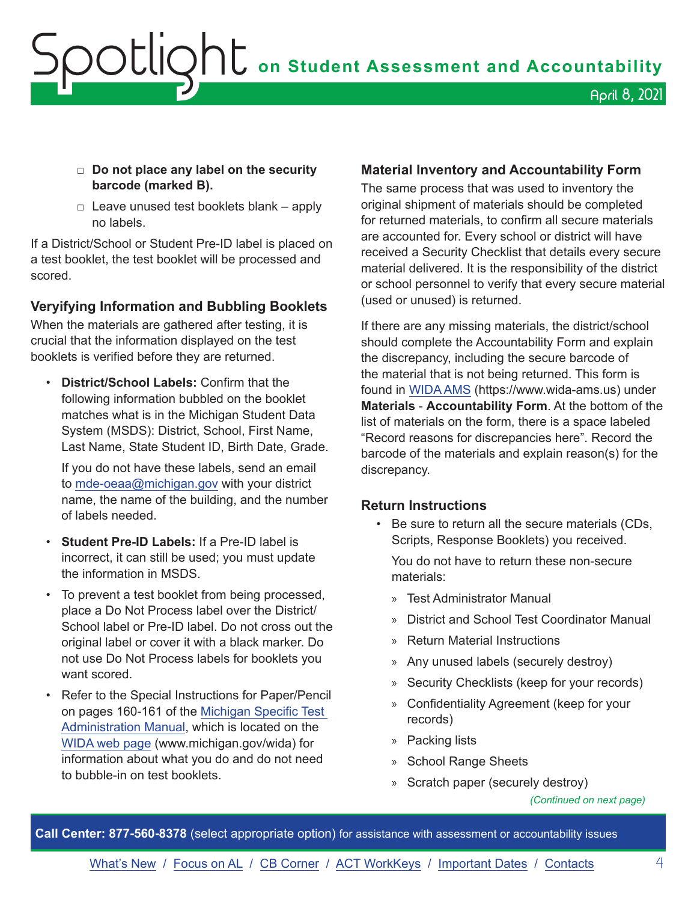## OOUQhU on Student Assessment and Accountability April 8, 2021

#### □ **Do not place any label on the security barcode (marked B).**

 $\Box$  Leave unused test booklets blank – apply no labels.

If a District/School or Student Pre-ID label is placed on a test booklet, the test booklet will be processed and scored.

#### **Veryifying Information and Bubbling Booklets**

When the materials are gathered after testing, it is crucial that the information displayed on the test booklets is verified before they are returned.

• **District/School Labels:** Confirm that the following information bubbled on the booklet matches what is in the Michigan Student Data System (MSDS): District, School, First Name, Last Name, State Student ID, Birth Date, Grade.

If you do not have these labels, send an email to [mde-oeaa@michigan.gov](mailto:mde-oeaa%40michigan.gov?subject=) with your district name, the name of the building, and the number of labels needed.

- **Student Pre-ID Labels:** If a Pre-ID label is incorrect, it can still be used; you must update the information in MSDS.
- To prevent a test booklet from being processed, place a Do Not Process label over the District/ School label or Pre-ID label. Do not cross out the original label or cover it with a black marker. Do not use Do Not Process labels for booklets you want scored.
- Refer to the Special Instructions for Paper/Pencil on pages 160-161 of the [Michigan Specific Test](https://www.michigan.gov/documents/mde/WIDA_Michigan_Specific_TAM_635431_7.pdf)  [Administration Manual,](https://www.michigan.gov/documents/mde/WIDA_Michigan_Specific_TAM_635431_7.pdf) which is located on the [WIDA web page](www.michigan.gov/wida) (www.michigan.gov/wida) for information about what you do and do not need to bubble-in on test booklets.

#### **Material Inventory and Accountability Form**

The same process that was used to inventory the original shipment of materials should be completed for returned materials, to confirm all secure materials are accounted for. Every school or district will have received a Security Checklist that details every secure material delivered. It is the responsibility of the district or school personnel to verify that every secure material (used or unused) is returned.

If there are any missing materials, the district/school should complete the Accountability Form and explain the discrepancy, including the secure barcode of the material that is not being returned. This form is found in [WIDA AMS](https://www.wida-ams.us/) (https://www.wida-ams.us) under **Materials** - **Accountability Form**. At the bottom of the list of materials on the form, there is a space labeled "Record reasons for discrepancies here". Record the barcode of the materials and explain reason(s) for the discrepancy.

#### **Return Instructions**

• Be sure to return all the secure materials (CDs, Scripts, Response Booklets) you received.

You do not have to return these non-secure materials:

- » Test Administrator Manual
- » District and School Test Coordinator Manual
- » Return Material Instructions
- » Any unused labels (securely destroy)
- » Security Checklists (keep for your records)
- » Confidentiality Agreement (keep for your records)
- » Packing lists
- » School Range Sheets
- » Scratch paper (securely destroy)

**Call Center: 877-560-8378** (select appropriate option) for assistance with assessment or accountability issues

*<sup>(</sup>Continued on next page)*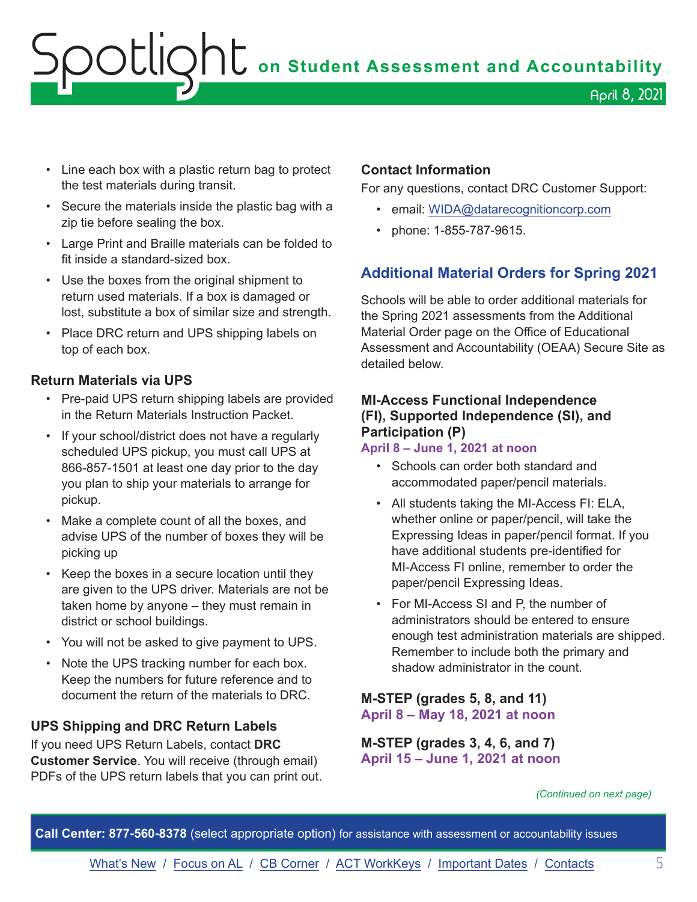- <span id="page-4-0"></span>• Line each box with a plastic return bag to protect the test materials during transit.
- Secure the materials inside the plastic bag with a zip tie before sealing the box.
- Large Print and Braille materials can be folded to fit inside a standard-sized box.
- Use the boxes from the original shipment to return used materials. If a box is damaged or lost, substitute a box of similar size and strength.
- Place DRC return and UPS shipping labels on top of each box.

#### **Return Materials via UPS**

- Pre-paid UPS return shipping labels are provided in the Return Materials Instruction Packet.
- If your school/district does not have a regularly scheduled UPS pickup, you must call UPS at 866-857-1501 at least one day prior to the day you plan to ship your materials to arrange for pickup.
- Make a complete count of all the boxes, and advise UPS of the number of boxes they will be picking up
- Keep the boxes in a secure location until they are given to the UPS driver. Materials are not be taken home by anyone – they must remain in district or school buildings.
- You will not be asked to give payment to UPS.
- Note the UPS tracking number for each box. Keep the numbers for future reference and to document the return of the materials to DRC.

#### **UPS Shipping and DRC Return Labels**

If you need UPS Return Labels, contact **DRC Customer Service**. You will receive (through email) PDFs of the UPS return labels that you can print out.

#### **Contact Information**

For any questions, contact DRC Customer Support:

- email: [WIDA@datarecognitioncorp.com](mailto:WIDA%40datarecognitioncorp.com?subject=)
- phone: 1-855-787-9615.

#### **Additional Material Orders for Spring 2021**

Schools will be able to order additional materials for the Spring 2021 assessments from the Additional Material Order page on the Office of Educational Assessment and Accountability (OEAA) Secure Site as detailed below.

#### **MI-Access Functional Independence (FI), Supported Independence (SI), and Participation (P)**

#### **April 8 – June 1, 2021 at noon**

- Schools can order both standard and accommodated paper/pencil materials.
- All students taking the MI-Access FI: ELA, whether online or paper/pencil, will take the Expressing Ideas in paper/pencil format. If you have additional students pre-identified for MI-Access FI online, remember to order the paper/pencil Expressing Ideas.
- For MI-Access SI and P, the number of administrators should be entered to ensure enough test administration materials are shipped. Remember to include both the primary and shadow administrator in the count.

#### **M-STEP (grades 5, 8, and 11) April 8 – May 18, 2021 at noon**

**M-STEP (grades 3, 4, 6, and 7) April 15 – June 1, 2021 at noon**

*(Continued on next page)*

**Call Center: 877-560-8378** (select appropriate option) for assistance with assessment or accountability issues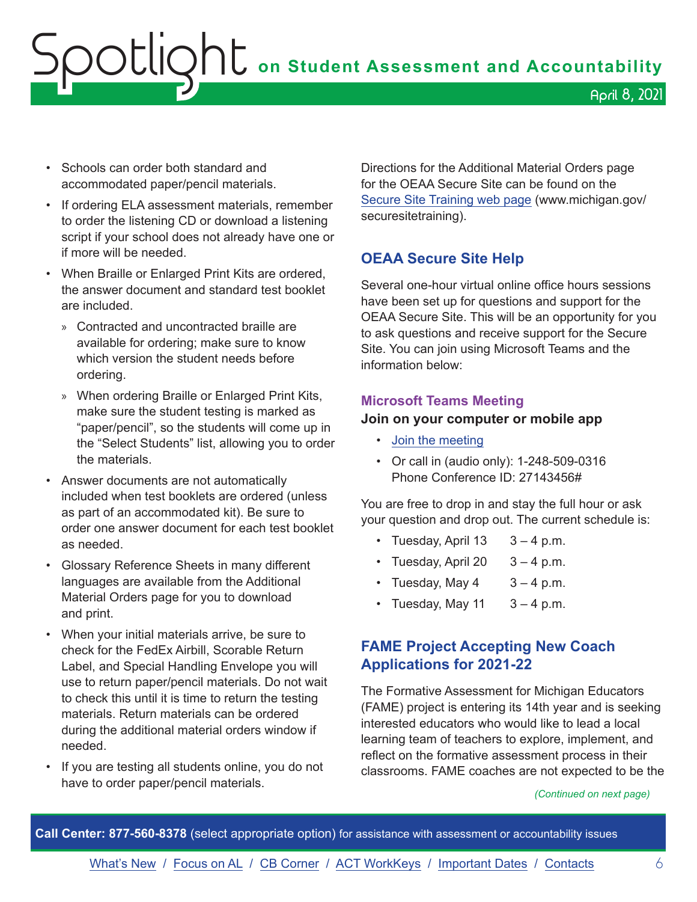<span id="page-5-0"></span>OCLIQht on Student Assessment and Accountability April 8, 2021

- Schools can order both standard and accommodated paper/pencil materials.
- If ordering ELA assessment materials, remember to order the listening CD or download a listening script if your school does not already have one or if more will be needed.
- When Braille or Enlarged Print Kits are ordered, the answer document and standard test booklet are included.
	- » Contracted and uncontracted braille are available for ordering; make sure to know which version the student needs before ordering.
	- » When ordering Braille or Enlarged Print Kits, make sure the student testing is marked as "paper/pencil", so the students will come up in the "Select Students" list, allowing you to order the materials.
- Answer documents are not automatically included when test booklets are ordered (unless as part of an accommodated kit). Be sure to order one answer document for each test booklet as needed.
- Glossary Reference Sheets in many different languages are available from the Additional Material Orders page for you to download and print.
- When your initial materials arrive, be sure to check for the FedEx Airbill, Scorable Return Label, and Special Handling Envelope you will use to return paper/pencil materials. Do not wait to check this until it is time to return the testing materials. Return materials can be ordered during the additional material orders window if needed.
- If you are testing all students online, you do not have to order paper/pencil materials.

Directions for the Additional Material Orders page for the OEAA Secure Site can be found on the [Secure Site Training web page](http://www.michigan.gov/oeaa-secure) (www.michigan.gov/ securesitetraining).

#### **OEAA Secure Site Help**

Several one-hour virtual online office hours sessions have been set up for questions and support for the OEAA Secure Site. This will be an opportunity for you to ask questions and receive support for the Secure Site. You can join using Microsoft Teams and the information below:

#### **Microsoft Teams Meeting**

#### **Join on your computer or mobile app**

- [Join the meeting](https://teams.microsoft.com/l/meetup-join/19%3ameeting_MzAyYzkwNTctMGU0ZC00Y2ZmLWFjNTEtZTRhYTQzN2UyMGM5%40thread.v2/0?context=%7b%22Tid%22%3a%22d5fb7087-3777-42ad-966a-892ef47225d1%22%2c%22Oid%22%3a%226100384c-b357-44a8-8e52-653af03855b7%22%7d)
- Or call in (audio only): 1-248-509-0316 Phone Conference ID: 27143456#

You are free to drop in and stay the full hour or ask your question and drop out. The current schedule is:

- Tuesday, April  $13 \quad 3 4$  p.m.
- Tuesday, April 20  $3 4$  p.m.
- Tuesday, May  $4 \times 3 4$  p.m.
- Tuesday, May 11  $3 4$  p.m.

#### **FAME Project Accepting New Coach Applications for 2021-22**

The Formative Assessment for Michigan Educators (FAME) project is entering its 14th year and is seeking interested educators who would like to lead a local learning team of teachers to explore, implement, and reflect on the formative assessment process in their classrooms. FAME coaches are not expected to be the

#### *(Continued on next page)*

**Call Center: 877-560-8378** (select appropriate option) for assistance with assessment or accountability issues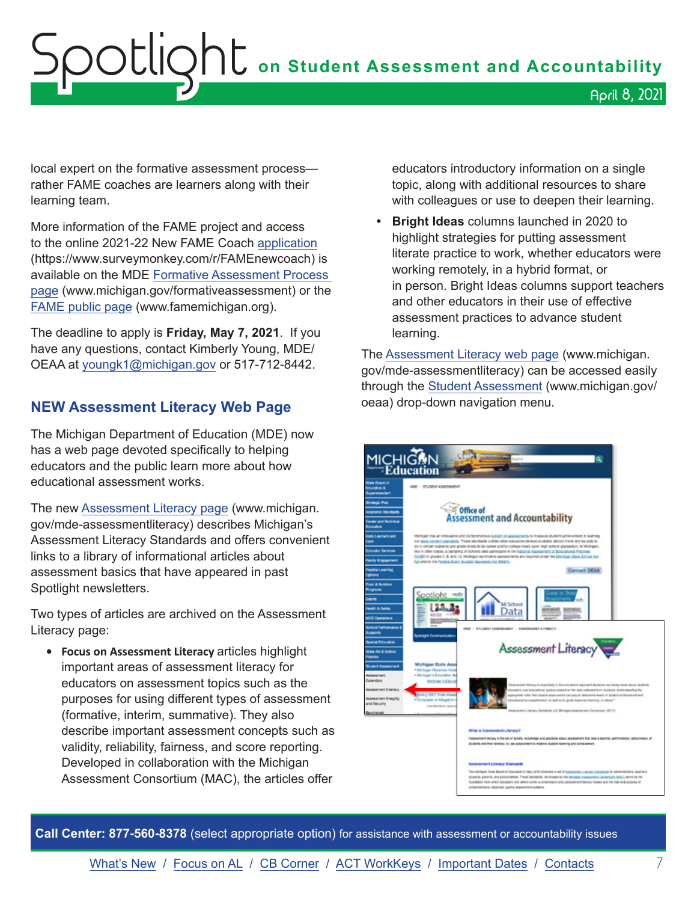## <span id="page-6-0"></span> ${\sf SOL}$   $\bullet$  on Student Assessment and Accountability April 8, 2021

local expert on the formative assessment process rather FAME coaches are learners along with their learning team.

More information of the FAME project and access to the online 2021-22 New FAME Coach [application](https://www.surveymonkey.com/r/FAMEnewcoach)  (https://www.surveymonkey.com/r/FAMEnewcoach) is available on the MDE [Formative Assessment Process](http://www.michigan.gov/formativeassessment)  [page](http://www.michigan.gov/formativeassessment) (www.michigan.gov/formativeassessment) or the [FAME public page](http://www.FAMEMichigan.org) (www.famemichigan.org).

The deadline to apply is **Friday, May 7, 2021**. If you have any questions, contact Kimberly Young, MDE/ OEAA at [youngk1@michigan.gov](mailto:youngk1%40michigan.gov?subject=) or 517-712-8442.

#### **NEW Assessment Literacy Web Page**

The Michigan Department of Education (MDE) now has a web page devoted specifically to helping educators and the public learn more about how educational assessment works.

The new [Assessment Literacy page](http://www.michigan.gov/mde-assessmentliteracy) (www.michigan. gov/mde-assessmentliteracy) describes Michigan's Assessment Literacy Standards and offers convenient links to a library of informational articles about assessment basics that have appeared in past Spotlight newsletters.

Two types of articles are archived on the Assessment Literacy page:

**• Focus on Assessment Literacy** articles highlight important areas of assessment literacy for educators on assessment topics such as the purposes for using different types of assessment (formative, interim, summative). They also describe important assessment concepts such as validity, reliability, fairness, and score reporting. Developed in collaboration with the Michigan Assessment Consortium (MAC), the articles offer

educators introductory information on a single topic, along with additional resources to share with colleagues or use to deepen their learning.

**• Bright Ideas** columns launched in 2020 to highlight strategies for putting assessment literate practice to work, whether educators were working remotely, in a hybrid format, or in person. Bright Ideas columns support teachers and other educators in their use of effective assessment practices to advance student learning.

The [Assessment Literacy web page](http://www.michigan.gov/mde-assessmentliteracy) (www.michigan. gov/mde-assessmentliteracy) can be accessed easily through the [Student Assessment](http://www.michigan.gov/oeaa) (www.michigan.gov/ oeaa) drop-down navigation menu.



**Call Center: 877-560-8378** (select appropriate option) for assistance with assessment or accountability issues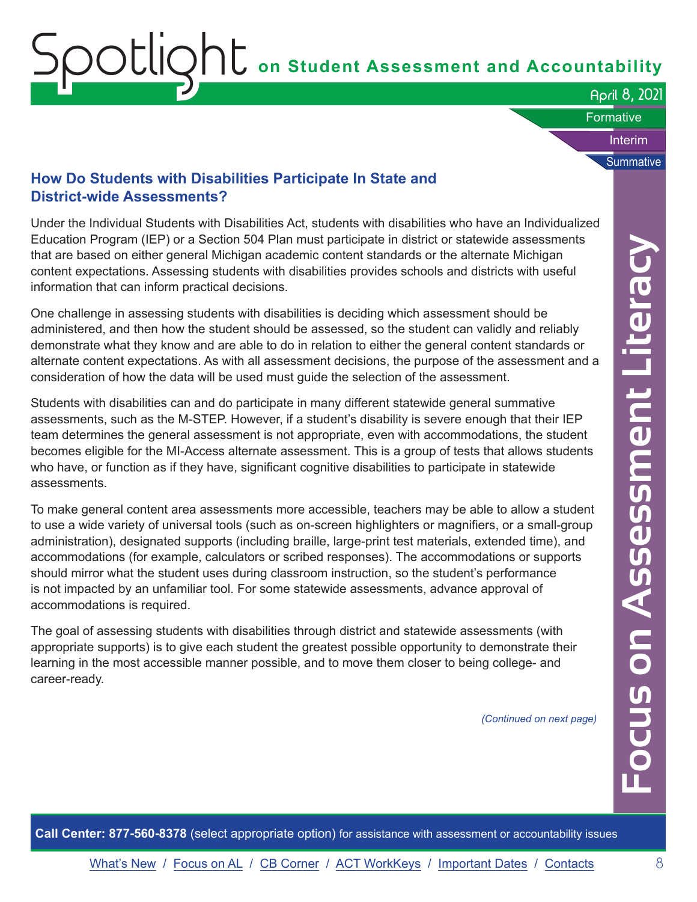April 8, 2021

Interim

**Summative** 

**Formative** 

#### <span id="page-7-0"></span>**How Do Students with Disabilities Participate In State and District-wide Assessments?**

Under the Individual Students with Disabilities Act, students with disabilities who have an Individualized Education Program (IEP) or a Section 504 Plan must participate in district or statewide assessments that are based on either general Michigan academic content standards or the alternate Michigan content expectations. Assessing students with disabilities provides schools and districts with useful information that can inform practical decisions.

One challenge in assessing students with disabilities is deciding which assessment should be administered, and then how the student should be assessed, so the student can validly and reliably demonstrate what they know and are able to do in relation to either the general content standards or alternate content expectations. As with all assessment decisions, the purpose of the assessment and a consideration of how the data will be used must guide the selection of the assessment.

Students with disabilities can and do participate in many different statewide general summative assessments, such as the M-STEP. However, if a student's disability is severe enough that their IEP team determines the general assessment is not appropriate, even with accommodations, the student becomes eligible for the MI-Access alternate assessment. This is a group of tests that allows students who have, or function as if they have, significant cognitive disabilities to participate in statewide assessments.

Program (IEP) or a Section 504 Filam must participel in district or statewide assessments on<br>each on either general Mchigan academic content standards or the alternate Michigan<br>mediators. Assessing students with disabiliti To make general content area assessments more accessible, teachers may be able to allow a student to use a wide variety of universal tools (such as on-screen highlighters or magnifiers, or a small-group administration), designated supports (including braille, large-print test materials, extended time), and accommodations (for example, calculators or scribed responses). The accommodations or supports should mirror what the student uses during classroom instruction, so the student's performance is not impacted by an unfamiliar tool. For some statewide assessments, advance approval of accommodations is required.

The goal of assessing students with disabilities through district and statewide assessments (with appropriate supports) is to give each student the greatest possible opportunity to demonstrate their learning in the most accessible manner possible, and to move them closer to being college- and career-ready.

*(Continued on next page)*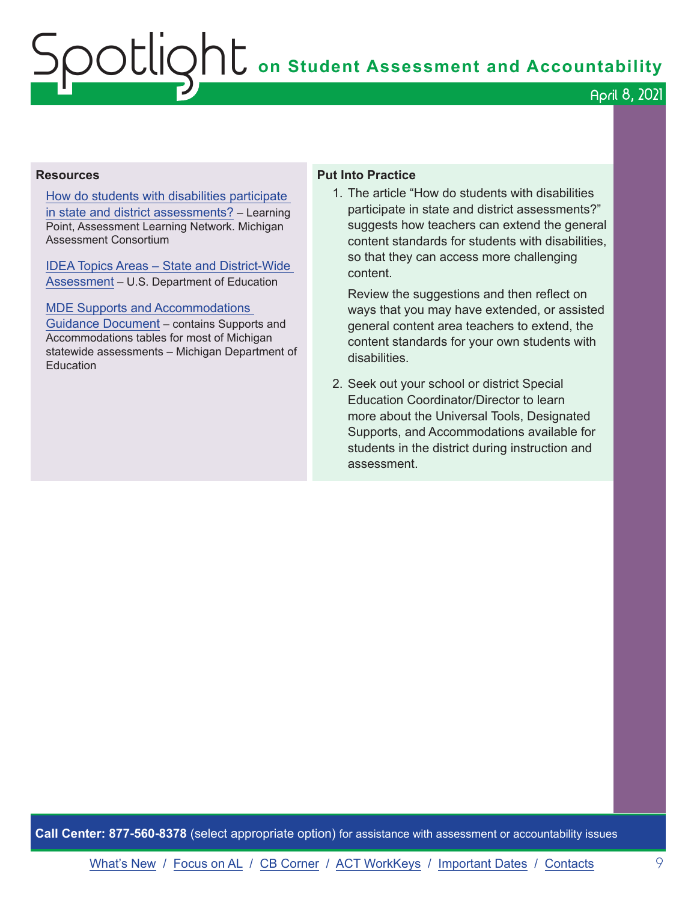April 8, 2021

#### **Resources**

[How do students with disabilities participate](https://www.michiganassessmentconsortium.org/wp-content/uploads/LP-STUDENTS-WITH-DISABILITIES-PARTICIPATION.pdf)  [in state and district assessments?](https://www.michiganassessmentconsortium.org/wp-content/uploads/LP-STUDENTS-WITH-DISABILITIES-PARTICIPATION.pdf) – Learning Point, Assessment Learning Network. Michigan Assessment Consortium

[IDEA Topics Areas – State and District-Wide](https://sites.ed.gov/idea/topic-areas/#Assessment-State-District-wide)  [Assessment](https://sites.ed.gov/idea/topic-areas/#Assessment-State-District-wide) – U.S. Department of Education

#### [MDE Supports and Accommodations](https://www.michigan.gov/documents/mde/Michigan_Accommodations_Manual.final_480016_7.pdf)

[Guidance Document](https://www.michigan.gov/documents/mde/Michigan_Accommodations_Manual.final_480016_7.pdf) – contains Supports and Accommodations tables for most of Michigan statewide assessments – Michigan Department of **Education** 

#### **Put Into Practice**

1. The article "How do students with disabilities participate in state and district assessments?" suggests how teachers can extend the general content standards for students with disabilities, so that they can access more challenging content.

Review the suggestions and then reflect on ways that you may have extended, or assisted general content area teachers to extend, the content standards for your own students with disabilities.

2. Seek out your school or district Special Education Coordinator/Director to learn more about the Universal Tools, Designated Supports, and Accommodations available for students in the district during instruction and assessment.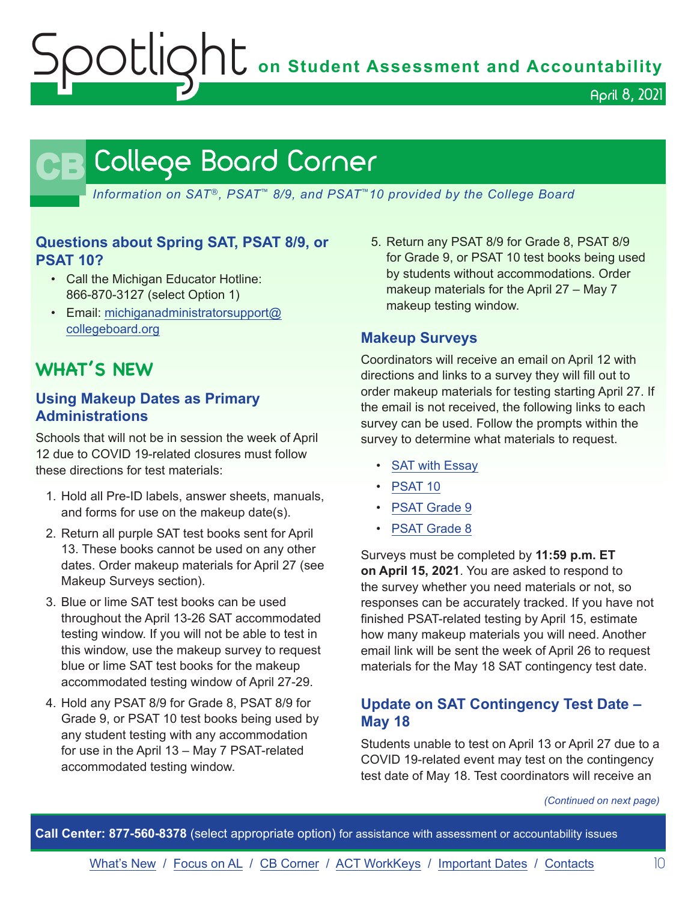April 8, 2021

### **CB** College Board Corner

<span id="page-9-0"></span>*Information on SAT*®*, PSAT*™ *8/9, and PSAT*™*10 provided by the College Board*

#### **Questions about Spring SAT, PSAT 8/9, or PSAT 10?**

- Call the Michigan Educator Hotline: 866-870-3127 (select Option 1)
- Email: [michiganadministratorsupport@](mailto:michiganadministratorsupport%40collegeboard.org?subject=) [collegeboard.org](mailto:michiganadministratorsupport%40collegeboard.org?subject=)

### **WHAT'S NEW**

#### **Using Makeup Dates as Primary Administrations**

Schools that will not be in session the week of April 12 due to COVID 19-related closures must follow these directions for test materials:

- 1. Hold all Pre-ID labels, answer sheets, manuals, and forms for use on the makeup date(s).
- 2. Return all purple SAT test books sent for April 13. These books cannot be used on any other dates. Order makeup materials for April 27 (see Makeup Surveys section).
- 3. Blue or lime SAT test books can be used throughout the April 13-26 SAT accommodated testing window. If you will not be able to test in this window, use the makeup survey to request blue or lime SAT test books for the makeup accommodated testing window of April 27-29.
- 4. Hold any PSAT 8/9 for Grade 8, PSAT 8/9 for Grade 9, or PSAT 10 test books being used by any student testing with any accommodation for use in the April 13 – May 7 PSAT-related accommodated testing window.

5. Return any PSAT 8/9 for Grade 8, PSAT 8/9 for Grade 9, or PSAT 10 test books being used by students without accommodations. Order makeup materials for the April 27 – May 7 makeup testing window.

#### **Makeup Surveys**

Coordinators will receive an email on April 12 with directions and links to a survey they will fill out to order makeup materials for testing starting April 27. If the email is not received, the following links to each survey can be used. Follow the prompts within the survey to determine what materials to request.

- [SAT with Essay](https://www.surveyresearchonline.com/se/7321E7ED57630E2F)
- [PSAT 10](https://www.surveyresearchonline.com/se/7321E7ED5B40B2AF)
- [PSAT Grade 9](https://www.surveyresearchonline.com/se/7321E7ED33A7FD61)
- [PSAT Grade 8](https://www.surveyresearchonline.com/se/7321E7ED5492E3E6)

Surveys must be completed by **11:59 p.m. ET on April 15, 2021**. You are asked to respond to the survey whether you need materials or not, so responses can be accurately tracked. If you have not finished PSAT-related testing by April 15, estimate how many makeup materials you will need. Another email link will be sent the week of April 26 to request materials for the May 18 SAT contingency test date.

#### **Update on SAT Contingency Test Date – May 18**

Students unable to test on April 13 or April 27 due to a COVID 19-related event may test on the contingency test date of May 18. Test coordinators will receive an

*(Continued on next page)*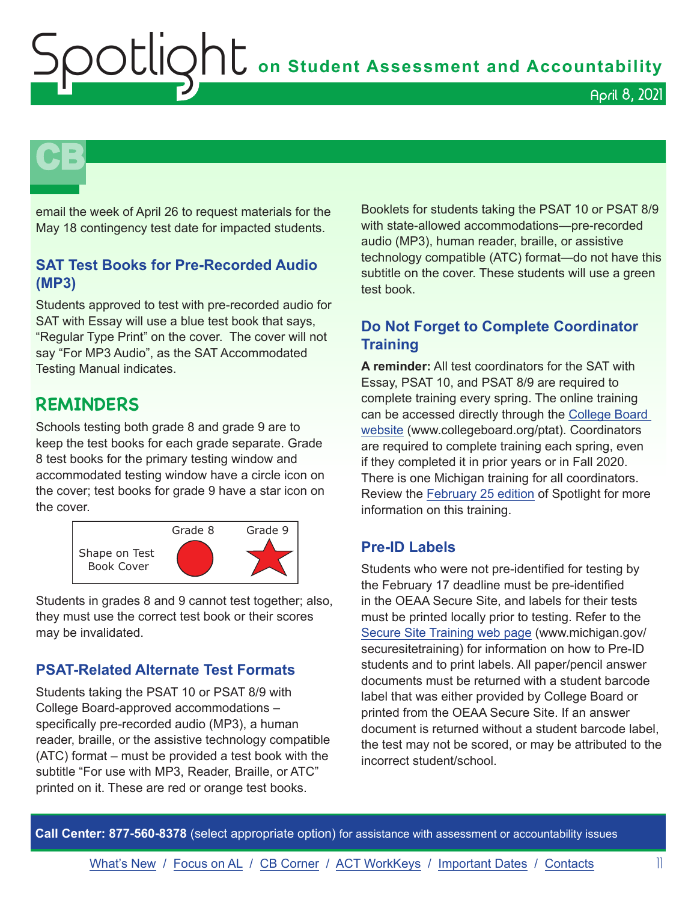**CB** 

email the week of April 26 to request materials for the May 18 contingency test date for impacted students.

#### **SAT Test Books for Pre-Recorded Audio (MP3)**

Students approved to test with pre-recorded audio for SAT with Essay will use a blue test book that says, "Regular Type Print" on the cover. The cover will not say "For MP3 Audio", as the SAT Accommodated Testing Manual indicates.

### **REMINDERS**

Schools testing both grade 8 and grade 9 are to keep the test books for each grade separate. Grade 8 test books for the primary testing window and accommodated testing window have a circle icon on the cover; test books for grade 9 have a star icon on the cover.



Students in grades 8 and 9 cannot test together; also, they must use the correct test book or their scores may be invalidated.

#### **PSAT-Related Alternate Test Formats**

Students taking the PSAT 10 or PSAT 8/9 with College Board-approved accommodations – specifically pre-recorded audio (MP3), a human reader, braille, or the assistive technology compatible (ATC) format – must be provided a test book with the subtitle "For use with MP3, Reader, Braille, or ATC" printed on it. These are red or orange test books.

Booklets for students taking the PSAT 10 or PSAT 8/9 with state-allowed accommodations—pre-recorded audio (MP3), human reader, braille, or assistive technology compatible (ATC) format—do not have this subtitle on the cover. These students will use a green test book.

#### **Do Not Forget to Complete Coordinator Training**

**A reminder:** All test coordinators for the SAT with Essay, PSAT 10, and PSAT 8/9 are required to complete training every spring. The online training can be accessed directly through the [College Board](http://www.collegeboard.org/ptat)  [website](http://www.collegeboard.org/ptat) (www.collegeboard.org/ptat). Coordinators are required to complete training each spring, even if they completed it in prior years or in Fall 2020. There is one Michigan training for all coordinators. Review the [February 25 edition](https://www.michigan.gov/documents/mde/Spotlight_2-25-21_717569_7.pdf) of Spotlight for more information on this training.

#### **Pre-ID Labels**

Students who were not pre-identified for testing by the February 17 deadline must be pre-identified in the OEAA Secure Site, and labels for their tests must be printed locally prior to testing. Refer to the [Secure Site Training web page](http://www.michigan.gov/securesitetraining) (www.michigan.gov/ securesitetraining) for information on how to Pre-ID students and to print labels. All paper/pencil answer documents must be returned with a student barcode label that was either provided by College Board or printed from the OEAA Secure Site. If an answer document is returned without a student barcode label, the test may not be scored, or may be attributed to the incorrect student/school.

**Call Center: 877-560-8378** (select appropriate option) for assistance with assessment or accountability issues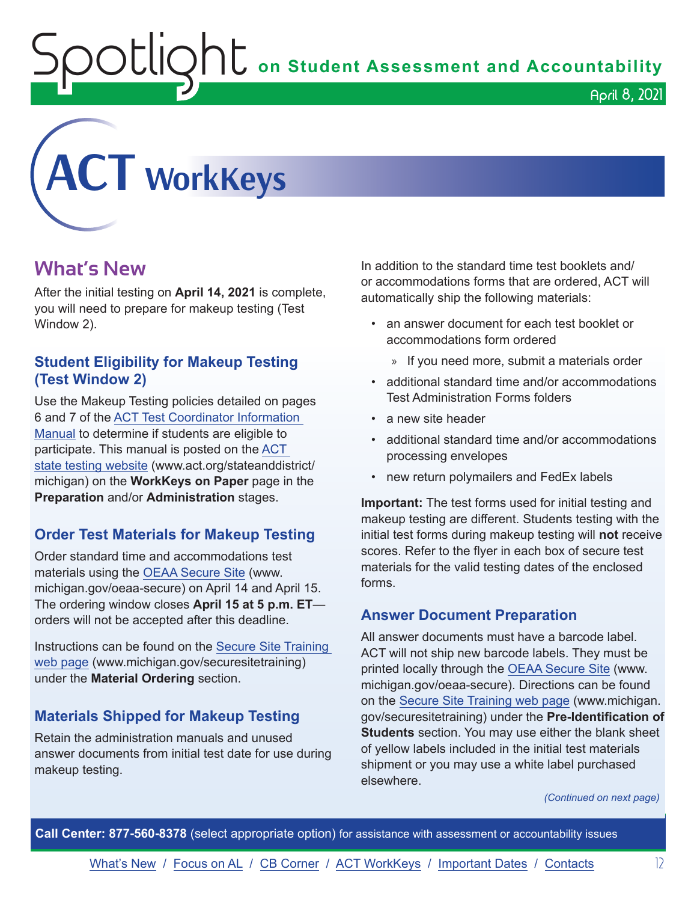OUIQhL on Student Assessment and Accountability

April 8, 2021

<span id="page-11-0"></span>

### **What's New**

After the initial testing on **April 14, 2021** is complete, you will need to prepare for makeup testing (Test Window 2).

#### **Student Eligibility for Makeup Testing (Test Window 2)**

Use the Makeup Testing policies detailed on pages 6 and 7 of the [ACT Test Coordinator Information](https://www.act.org/content/dam/act/secured/documents/pdfs/state-district-test-coordinator-paper-test.pdf)  [Manual](https://www.act.org/content/dam/act/secured/documents/pdfs/state-district-test-coordinator-paper-test.pdf) to determine if students are eligible to participate. This manual is posted on the [ACT](http://www.act.org/stateanddistrict/michigan)  [state testing website](http://www.act.org/stateanddistrict/michigan) (www.act.org/stateanddistrict/ michigan) on the **WorkKeys on Paper** page in the **Preparation** and/or **Administration** stages.

#### **Order Test Materials for Makeup Testing**

Order standard time and accommodations test materials using the [OEAA Secure Site](http://www.michigan.gov/oeaa-secure) (www. michigan.gov/oeaa-secure) on April 14 and April 15. The ordering window closes **April 15 at 5 p.m. ET** orders will not be accepted after this deadline.

Instructions can be found on the [Secure Site Training](http://www.michigan.gov/securesitetraining)  [web page](http://www.michigan.gov/securesitetraining) (www.michigan.gov/securesitetraining) under the **Material Ordering** section.

#### **Materials Shipped for Makeup Testing**

Retain the administration manuals and unused answer documents from initial test date for use during makeup testing.

In addition to the standard time test booklets and/ or accommodations forms that are ordered, ACT will automatically ship the following materials:

- an answer document for each test booklet or accommodations form ordered
	- » If you need more, submit a materials order
- additional standard time and/or accommodations Test Administration Forms folders
- a new site header
- additional standard time and/or accommodations processing envelopes
- new return polymailers and FedEx labels

**Important:** The test forms used for initial testing and makeup testing are different. Students testing with the initial test forms during makeup testing will **not** receive scores. Refer to the flyer in each box of secure test materials for the valid testing dates of the enclosed forms.

#### **Answer Document Preparation**

All answer documents must have a barcode label. ACT will not ship new barcode labels. They must be printed locally through the [OEAA Secure Site](http://www.michigan.gov/oeaa-secure) (www. michigan.gov/oeaa-secure). Directions can be found on the [Secure Site Training web page](http://www.michigan.gov/securesitetraining) (www.michigan. gov/securesitetraining) under the **Pre-Identification of Students** section. You may use either the blank sheet of yellow labels included in the initial test materials shipment or you may use a white label purchased elsewhere.

*(Continued on next page)*

**Call Center: 877-560-8378** (select appropriate option) for assistance with assessment or accountability issues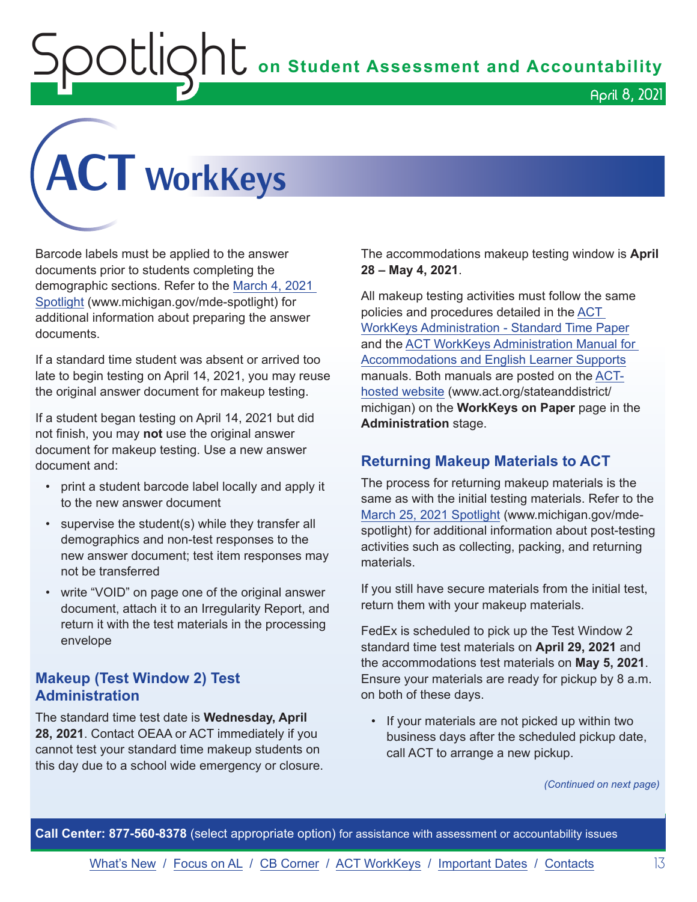## $\mathop{\rm O}\nolimits$   $\mathop{\rm Cl}\nolimits$   $\mathop{\rm O}\nolimits$   $\mathop{\rm Cl}\nolimits$  on Student Assessment and Accountability



Barcode labels must be applied to the answer documents prior to students completing the demographic sections. Refer to the [March 4, 2021](https://www.michigan.gov/documents/mde/Spotlight_3-4-21_718250_7.pdf)  [Spotlight](https://www.michigan.gov/documents/mde/Spotlight_3-4-21_718250_7.pdf) (www.michigan.gov/mde-spotlight) for additional information about preparing the answer documents.

If a standard time student was absent or arrived too late to begin testing on April 14, 2021, you may reuse the original answer document for makeup testing.

If a student began testing on April 14, 2021 but did not finish, you may **not** use the original answer document for makeup testing. Use a new answer document and:

- print a student barcode label locally and apply it to the new answer document
- supervise the student(s) while they transfer all demographics and non-test responses to the new answer document; test item responses may not be transferred
- write "VOID" on page one of the original answer document, attach it to an Irregularity Report, and return it with the test materials in the processing envelope

#### **Makeup (Test Window 2) Test Administration**

The standard time test date is **Wednesday, April 28, 2021**. Contact OEAA or ACT immediately if you cannot test your standard time makeup students on this day due to a school wide emergency or closure.

The accommodations makeup testing window is **April 28 – May 4, 2021**.

All makeup testing activities must follow the same policies and procedures detailed in the [ACT](http://www.act.org/content/dam/act/secured/documents/pdfs/WK-Admin-SD-Std-Time-Paper-Secured.pdf)  [WorkKeys Administration - Standard Time Paper](http://www.act.org/content/dam/act/secured/documents/pdfs/WK-Admin-SD-Std-Time-Paper-Secured.pdf) and the [ACT WorkKeys Administration Manual for](http://www.act.org/content/dam/act/secured/documents/pdfs/WK-Admin-SD-Accoms-Secured.pdf)  [Accommodations and English Learner Supports](http://www.act.org/content/dam/act/secured/documents/pdfs/WK-Admin-SD-Accoms-Secured.pdf) manuals. Both manuals are posted on the [ACT](http://www.act.org/stateanddistrict/michigan)[hosted website](http://www.act.org/stateanddistrict/michigan) (www.act.org/stateanddistrict/ michigan) on the **WorkKeys on Paper** page in the **Administration** stage.

#### **Returning Makeup Materials to ACT**

The process for returning makeup materials is the same as with the initial testing materials. Refer to the [March 25, 2021 Spotlight](https://www.michigan.gov/documents/mde/Spotlight_3-25-21_720510_7.pdf) (www.michigan.gov/mdespotlight) for additional information about post-testing activities such as collecting, packing, and returning materials.

If you still have secure materials from the initial test, return them with your makeup materials.

FedEx is scheduled to pick up the Test Window 2 standard time test materials on **April 29, 2021** and the accommodations test materials on **May 5, 2021**. Ensure your materials are ready for pickup by 8 a.m. on both of these days.

If your materials are not picked up within two business days after the scheduled pickup date, call ACT to arrange a new pickup.

*(Continued on next page)*

**Call Center: 877-560-8378** (select appropriate option) for assistance with assessment or accountability issues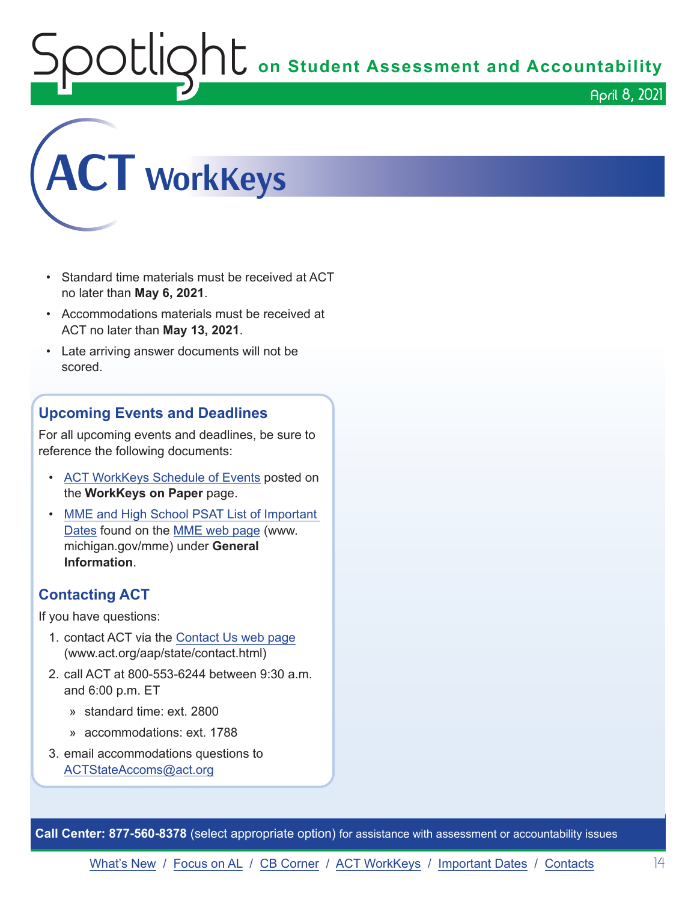## $\mathop{\rm O}\nolimits$   $\mathop{\rm Cl}\nolimits$   $\mathop{\rm O}\nolimits$   $\mathop{\rm Cl}\nolimits$  on Student Assessment and Accountability April 8, 2021



- Standard time materials must be received at ACT no later than **May 6, 2021**.
- Accommodations materials must be received at ACT no later than **May 13, 2021**.
- Late arriving answer documents will not be scored.

#### **Upcoming Events and Deadlines**

For all upcoming events and deadlines, be sure to reference the following documents:

- [ACT WorkKeys Schedule](https://content.act.org/michigan/r/YWy2bAxclTdZAcOxrrNErw/root) of Events posted on the **WorkKeys on Paper** page.
- [MME and High School PSAT List of Important](https://www.michigan.gov/mde/0,4615,7-140-22709_105605---,00.html)  [Dates](https://www.michigan.gov/mde/0,4615,7-140-22709_105605---,00.html) found on the [MME web page](http://www.michigan.gov/mme) (www. michigan.gov/mme) under **General Information**.

#### **Contacting ACT**

If you have questions:

- 1. contact ACT via the [Contact Us web page](http://www.act.org/aap/state/contact.html) (www.act.org/aap/state/contact.html)
- 2. call ACT at 800-553-6244 between 9:30 a.m. and 6:00 p.m. ET
	- » standard time: ext. 2800
	- » accommodations: ext. 1788
- 3. email accommodations questions to [ACTStateAccoms@act.org](mailto:ACTStateAccoms%40act.org?subject=)

**Call Center: 877-560-8378** (select appropriate option) for assistance with assessment or accountability issues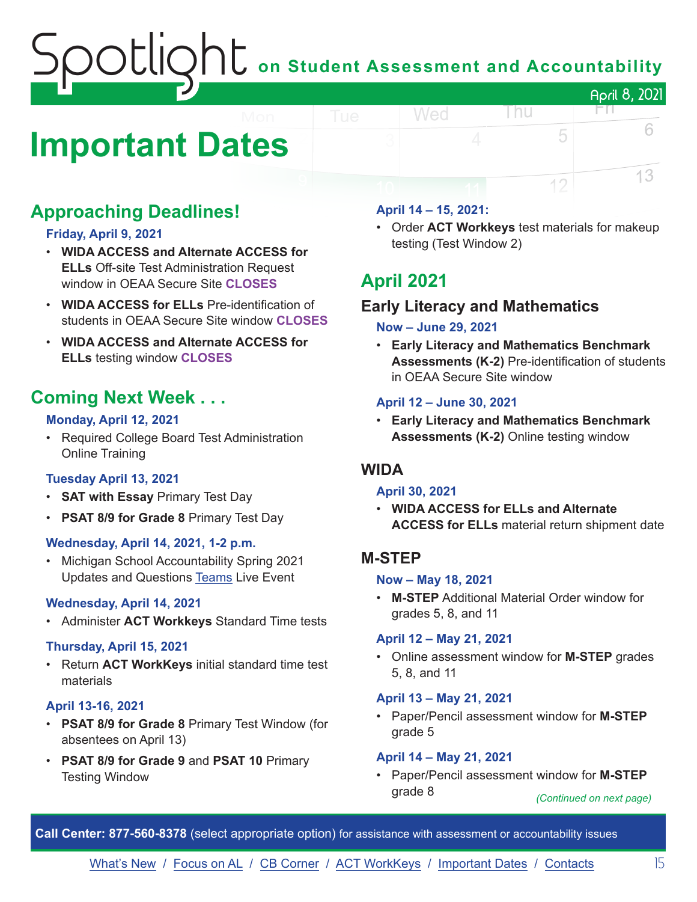## on Student Assessment and Accountability April 8, 2021

## <span id="page-14-0"></span>**Important Dates**

### **Approaching Deadlines!**

#### **Friday, April 9, 2021**

- **WIDA ACCESS and Alternate ACCESS for ELLs** Off-site Test Administration Request window in OEAA Secure Site **CLOSES**
- **WIDA ACCESS for ELLs** Pre-identification of students in OEAA Secure Site window **CLOSES**
- **WIDA ACCESS and Alternate ACCESS for ELLs** testing window **CLOSES**

### **Coming Next Week . . .**

#### **Monday, April 12, 2021**

• Required College Board Test Administration Online Training

#### **Tuesday April 13, 2021**

- **SAT with Essay** Primary Test Day
- **PSAT 8/9 for Grade 8** Primary Test Day

#### **Wednesday, April 14, 2021, 1-2 p.m.**

• Michigan School Accountability Spring 2021 Updates and Questions [Teams](https://teams.microsoft.com/l/meetup-join/19%3ameeting_NTMwYzUyZGQtYzY4ZC00N2M2LThkNWUtMzI1MGUwYzQyZjcw%40thread.v2/0?context=%7b%22Tid%22%3a%22d5fb7087-3777-42ad-966a-892ef47225d1%22%2c%22Oid%22%3a%22ca6951cb-3f0c-46c4-b45e-0209c7a4a4f2%22%7d) Live Event

#### **Wednesday, April 14, 2021**

• Administer **ACT Workkeys** Standard Time tests

#### **Thursday, April 15, 2021**

• Return **ACT WorkKeys** initial standard time test materials

#### **April 13-16, 2021**

- **PSAT 8/9 for Grade 8** Primary Test Window (for absentees on April 13)
- **PSAT 8/9 for Grade 9** and **PSAT 10** Primary Testing Window

#### **April 14 – 15, 2021:**

Wed

• Order **ACT Workkeys** test materials for makeup testing (Test Window 2)

l nu

5

12

FN.

6

13

### **April 2021**

### **Early Literacy and Mathematics**

#### **Now – June 29, 2021**

• **Early Literacy and Mathematics Benchmark Assessments (K-2)** Pre-identification of students in OEAA Secure Site window

#### **April 12 – June 30, 2021**

• **Early Literacy and Mathematics Benchmark Assessments (K-2)** Online testing window

#### **WIDA**

#### **April 30, 2021**

• **WIDA ACCESS for ELLs and Alternate ACCESS for ELLs** material return shipment date

#### **M-STEP**

#### **Now – May 18, 2021**

• **M-STEP** Additional Material Order window for grades 5, 8, and 11

#### **April 12 – May 21, 2021**

• Online assessment window for **M-STEP** grades 5, 8, and 11

#### **April 13 – May 21, 2021**

• Paper/Pencil assessment window for **M-STEP** grade 5

#### **April 14 – May 21, 2021**

• Paper/Pencil assessment window for **M-STEP** grade 8 *(Continued on next page)*

**Call Center: 877-560-8378** (select appropriate option) for assistance with assessment or accountability issues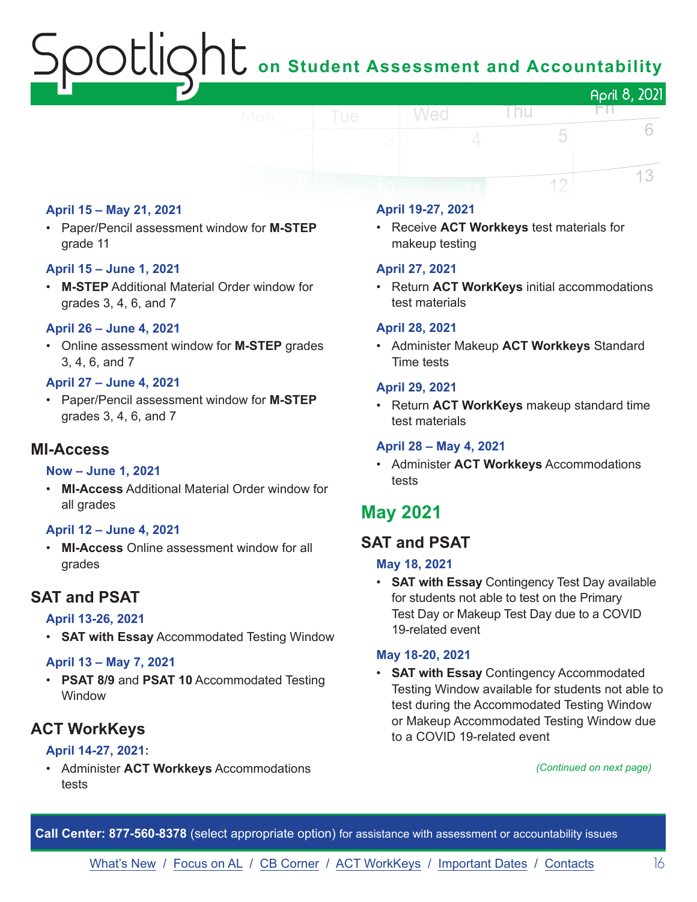## $\bigcap$  on Student Assessment and Accountability April 8, 2021

#### **April 15 – May 21, 2021**

• Paper/Pencil assessment window for **M-STEP** grade 11

#### **April 15 – June 1, 2021**

• **M-STEP** Additional Material Order window for grades 3, 4, 6, and 7

#### **April 26 – June 4, 2021**

• Online assessment window for **M-STEP** grades 3, 4, 6, and 7

#### **April 27 – June 4, 2021**

• Paper/Pencil assessment window for **M-STEP**  grades 3, 4, 6, and 7

#### **MI-Access**

#### **Now – June 1, 2021**

• **MI-Access** Additional Material Order window for all grades

#### **April 12 – June 4, 2021**

• **MI-Access** Online assessment window for all grades

#### **SAT and PSAT**

#### **April 13-26, 2021**

• **SAT with Essay** Accommodated Testing Window

#### **April 13 – May 7, 2021**

• **PSAT 8/9** and **PSAT 10** Accommodated Testing Window

#### **ACT WorkKeys**

#### **April 14-27, 2021:**

• Administer **ACT Workkeys** Accommodations tests

#### **April 19-27, 2021**

Wed

• Receive **ACT Workkeys** test materials for makeup testing

#### **April 27, 2021**

• Return **ACT WorkKeys** initial accommodations test materials

l nu

5

12

FN.

6

13

#### **April 28, 2021**

• Administer Makeup **ACT Workkeys** Standard Time tests

#### **April 29, 2021**

• Return **ACT WorkKeys** makeup standard time test materials

#### **April 28 – May 4, 2021**

• Administer **ACT Workkeys** Accommodations tests

### **May 2021**

#### **SAT and PSAT**

#### **May 18, 2021**

• **SAT with Essay** Contingency Test Day available for students not able to test on the Primary Test Day or Makeup Test Day due to a COVID 19-related event

#### **May 18-20, 2021**

• **SAT with Essay** Contingency Accommodated Testing Window available for students not able to test during the Accommodated Testing Window or Makeup Accommodated Testing Window due to a COVID 19-related event

#### *(Continued on next page)*

**Call Center: 877-560-8378** (select appropriate option) for assistance with assessment or accountability issues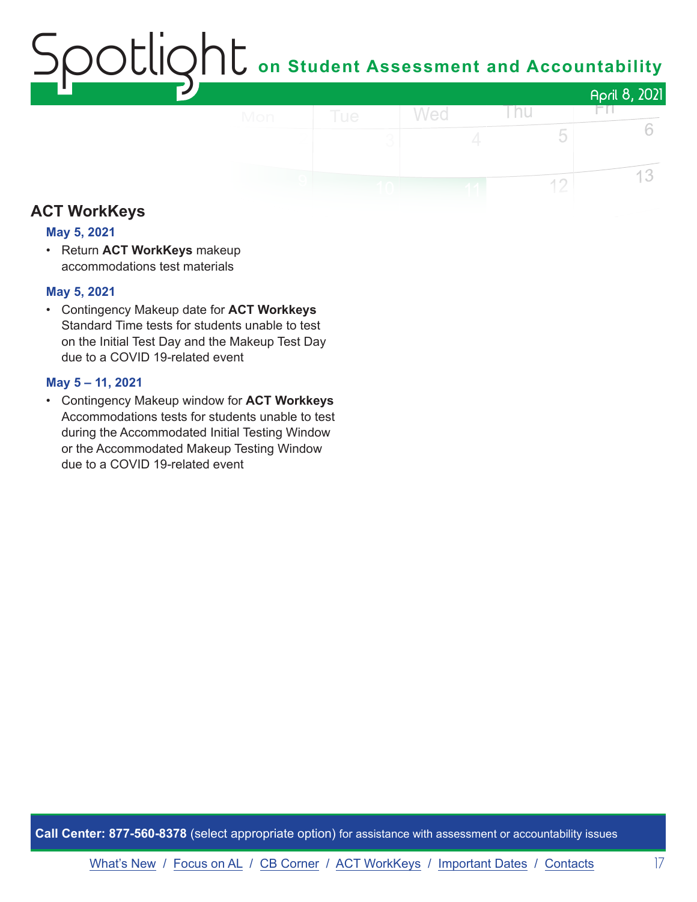## on Student Assessment and Accountability April 8, 2021

Thu

5

 $12$ 

Wed

FП.

6

13

### **ACT WorkKeys**

#### **May 5, 2021**

• Return **ACT WorkKeys** makeup accommodations test materials

#### **May 5, 2021**

• Contingency Makeup date for **ACT Workkeys** Standard Time tests for students unable to test on the Initial Test Day and the Makeup Test Day due to a COVID 19-related event

#### **May 5 – 11, 2021**

• Contingency Makeup window for **ACT Workkeys** Accommodations tests for students unable to test during the Accommodated Initial Testing Window or the Accommodated Makeup Testing Window due to a COVID 19-related event